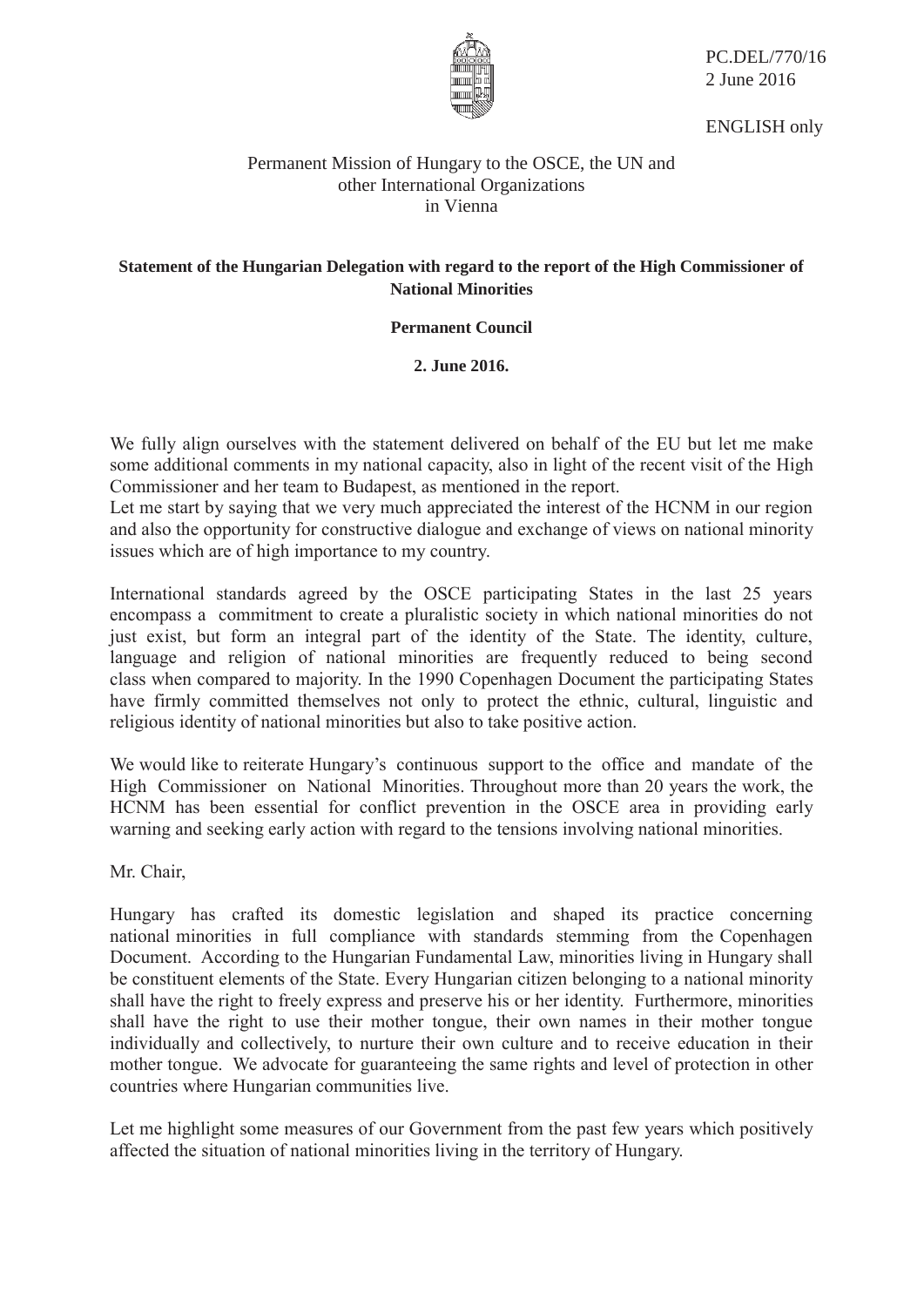

PC.DEL/770/16 2 June 2016

ENGLISH only

## Permanent Mission of Hungary to the OSCE, the UN and other International Organizations in Vienna

## **Statement of the Hungarian Delegation with regard to the report of the High Commissioner of National Minorities**

**Permanent Council** 

**2. June 2016.** 

We fully align ourselves with the statement delivered on behalf of the EU but let me make some additional comments in my national capacity, also in light of the recent visit of the High Commissioner and her team to Budapest, as mentioned in the report.

Let me start by saying that we very much appreciated the interest of the HCNM in our region and also the opportunity for constructive dialogue and exchange of views on national minority issues which are of high importance to my country.

International standards agreed by the OSCE participating States in the last 25 years encompass a commitment to create a pluralistic society in which national minorities do not just exist, but form an integral part of the identity of the State. The identity, culture, language and religion of national minorities are frequently reduced to being second class when compared to majority. In the 1990 Copenhagen Document the participating States have firmly committed themselves not only to protect the ethnic, cultural, linguistic and religious identity of national minorities but also to take positive action.

We would like to reiterate Hungary's continuous support to the office and mandate of the High Commissioner on National Minorities. Throughout more than 20 years the work, the HCNM has been essential for conflict prevention in the OSCE area in providing early warning and seeking early action with regard to the tensions involving national minorities.

Mr. Chair,

Hungary has crafted its domestic legislation and shaped its practice concerning national minorities in full compliance with standards stemming from the Copenhagen Document. According to the Hungarian Fundamental Law, minorities living in Hungary shall be constituent elements of the State. Every Hungarian citizen belonging to a national minority shall have the right to freely express and preserve his or her identity. Furthermore, minorities shall have the right to use their mother tongue, their own names in their mother tongue individually and collectively, to nurture their own culture and to receive education in their mother tongue. We advocate for guaranteeing the same rights and level of protection in other countries where Hungarian communities live.

Let me highlight some measures of our Government from the past few years which positively affected the situation of national minorities living in the territory of Hungary.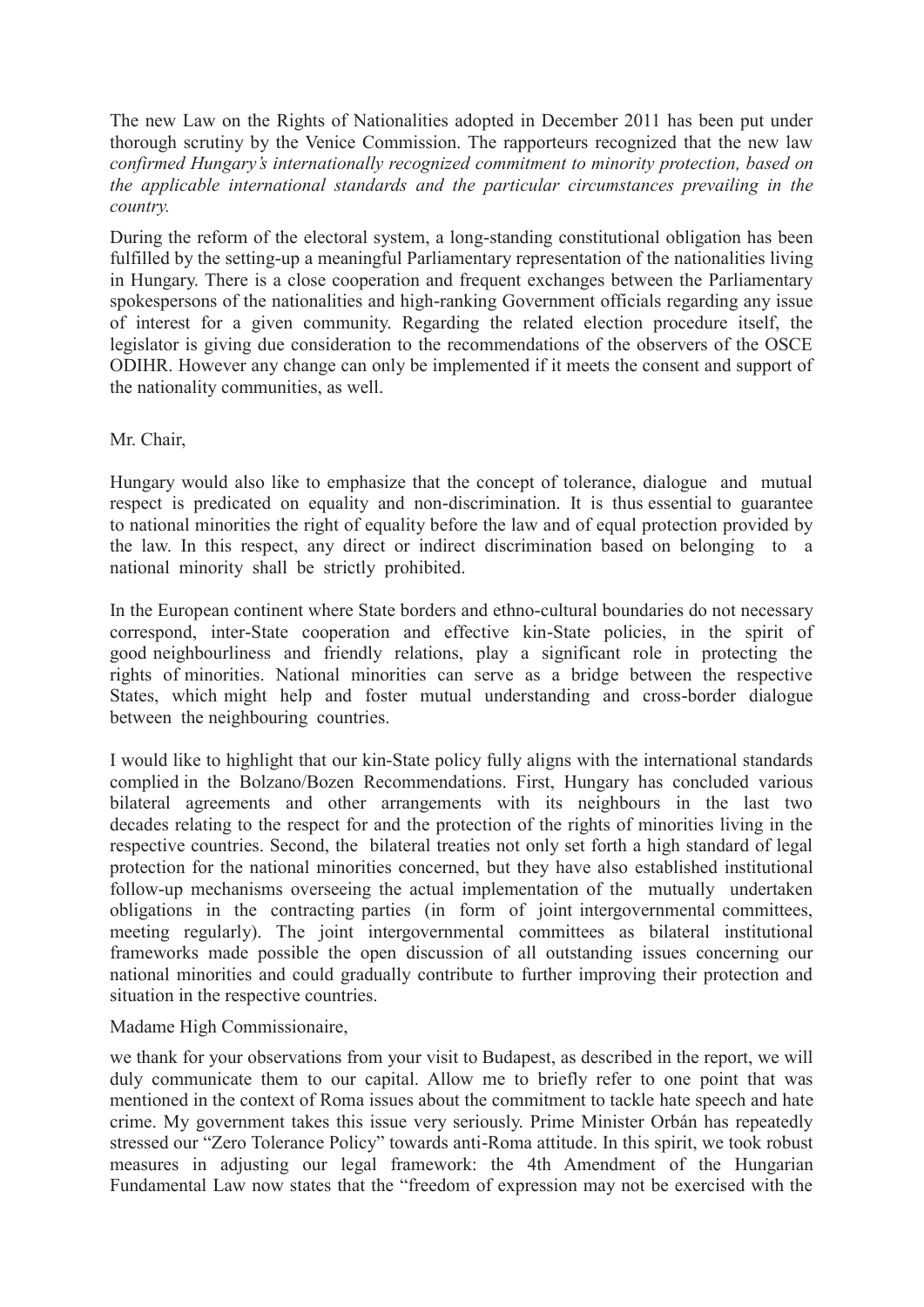The new Law on the Rights of Nationalities adopted in December 2011 has been put under thorough scrutiny by the Venice Commission. The rapporteurs recognized that the new law *confirmed Hungary's internationally recognized commitment to minority protection, based on the applicable international standards and the particular circumstances prevailing in the country.*

During the reform of the electoral system, a long-standing constitutional obligation has been fulfilled by the setting-up a meaningful Parliamentary representation of the nationalities living in Hungary. There is a close cooperation and frequent exchanges between the Parliamentary spokespersons of the nationalities and high-ranking Government officials regarding any issue of interest for a given community. Regarding the related election procedure itself, the legislator is giving due consideration to the recommendations of the observers of the OSCE ODIHR. However any change can only be implemented if it meets the consent and support of the nationality communities, as well.

Mr. Chair,

Hungary would also like to emphasize that the concept of tolerance, dialogue and mutual respect is predicated on equality and non-discrimination. It is thus essential to guarantee to national minorities the right of equality before the law and of equal protection provided by the law. In this respect, any direct or indirect discrimination based on belonging to a national minority shall be strictly prohibited.

In the European continent where State borders and ethno-cultural boundaries do not necessary correspond, inter-State cooperation and effective kin-State policies, in the spirit of good neighbourliness and friendly relations, play a significant role in protecting the rights of minorities. National minorities can serve as a bridge between the respective States, which might help and foster mutual understanding and cross-border dialogue between the neighbouring countries.

I would like to highlight that our kin-State policy fully aligns with the international standards complied in the Bolzano/Bozen Recommendations. First, Hungary has concluded various bilateral agreements and other arrangements with its neighbours in the last two decades relating to the respect for and the protection of the rights of minorities living in the respective countries. Second, the bilateral treaties not only set forth a high standard of legal protection for the national minorities concerned, but they have also established institutional follow-up mechanisms overseeing the actual implementation of the mutually undertaken obligations in the contracting parties (in form of joint intergovernmental committees, meeting regularly). The joint intergovernmental committees as bilateral institutional frameworks made possible the open discussion of all outstanding issues concerning our national minorities and could gradually contribute to further improving their protection and situation in the respective countries.

Madame High Commissionaire,

we thank for your observations from your visit to Budapest, as described in the report, we will duly communicate them to our capital. Allow me to briefly refer to one point that was mentioned in the context of Roma issues about the commitment to tackle hate speech and hate crime. My government takes this issue very seriously. Prime Minister Orbán has repeatedly stressed our "Zero Tolerance Policy" towards anti-Roma attitude. In this spirit, we took robust measures in adjusting our legal framework: the 4th Amendment of the Hungarian Fundamental Law now states that the "freedom of expression may not be exercised with the